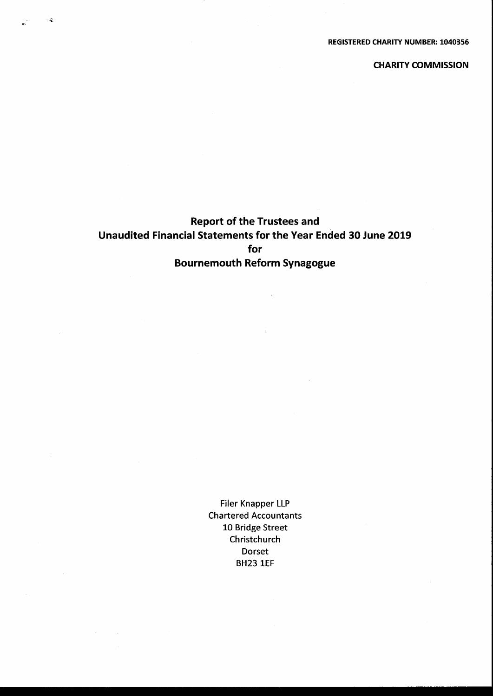CHARITY COMMISSION

# Report of the Trustees and Unaudited Financial Statements for the Year Ended 30 June 2019 for Bournemouth Reform Synagogue

 $\sim$   $\mathcal{L}$ 

Filer Knapper LLP Chartered Accountants 10 Bridge Street Christchurch Dorset BH23 1EF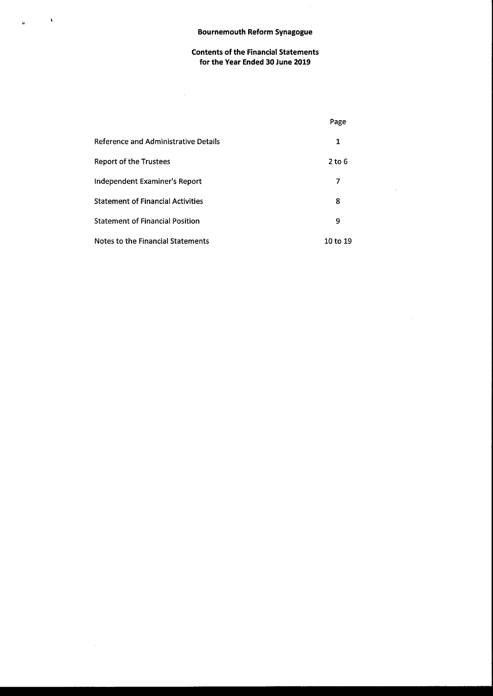$\bar{\mathbf{3}}$ 

 $\mathcal{L}_{\mathcal{A}}$ 

 $\tilde{\mathbf{r}}$ 

# Contents of the Financial Statements for the Year Ended 30 June 2019

 $\mathcal{L}$ 

|                                             | Page     |
|---------------------------------------------|----------|
| <b>Reference and Administrative Details</b> | 1        |
| Report of the Trustees                      | $2$ to 6 |
| Independent Examiner's Report               | 7        |
| <b>Statement of Financial Activities</b>    | 8        |
| <b>Statement of Financial Position</b>      | 9        |
| Notes to the Financial Statements           | 10 to 19 |

 $\sim$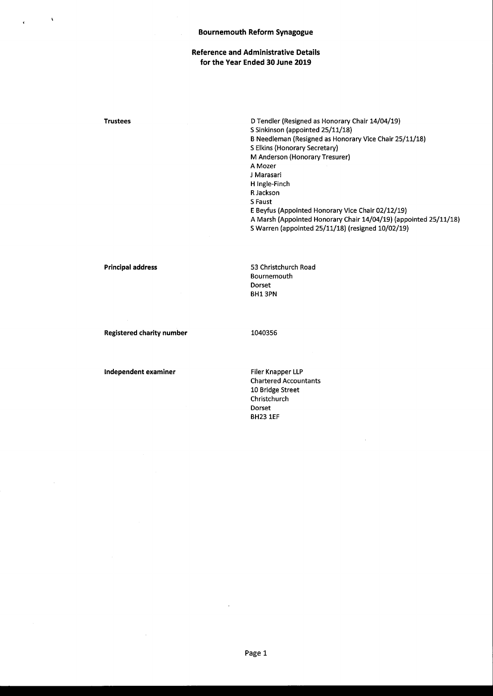#### Bournemouth Reform Synagogue

# Reference and Administrative Details for the Year Ended 30 June 2019

Trustees D Tendler (Resigned as Honorary Chair 14/04/19) S Sinkinson (appointed 25/11/18) B Needleman (Resigned as Honorary Vice Chair 25/11/18) 5 Elkins (Honorary Secretary) M Anderson (Honorary Tresurer) A Mozer J Marasari H Ingle-Finch R Jackson 5 Faust E Beyfus (Appointed Honorary Vice Chair 02/12/19) A Marsh (Appointed Honorary Chair 14/04/19) (appointed 25/11/18) 5 Warren (appointed 25/11/18) (resigned 10/02/19)

Principal address 53 Christchurch Road Bournemouth Dorset BH1 3PN

Registered charity number 1040356

Independent examiner Filer Knapper LLP

Chartered Accountants 10 Bridge Street Christchurch Dorset BH23 1EF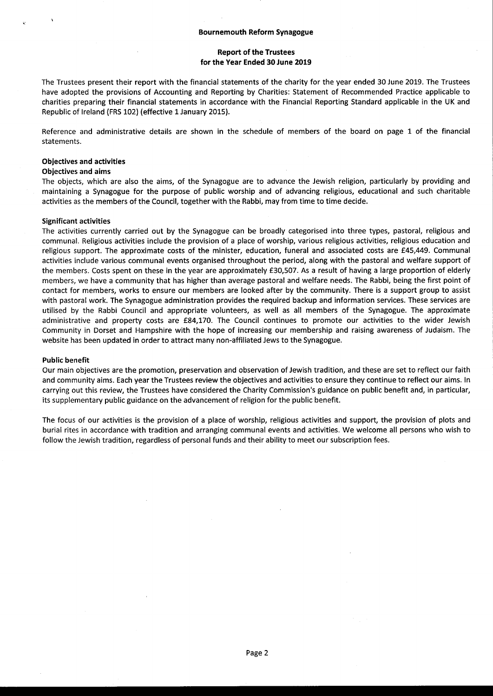# Report of the Trustees for the Year Ended 30 June 2019

The Trustees present their report with the financial statements of the charity for the year ended 30 June 2019. The Trustees have adopted the provisions of Accounting and Reporting by Charities: Statement of Recommended Practice applicable to charities preparing their financial statements in accordance with the Financial Reporting Standard applicable in the UK and Republic of Ireland (FRS 102) (effective 1January 2015).

Reference and administrative details are shown in the schedule of members of the board on page 1 of the financial statements.

#### Objectives and activities

#### Objectives and aims

The objects, which are also the aims, of the Synagogue are to advance the Jewish religion, particularly by providing and maintaining a Synagogue for the purpose of public worship and of advancing religious, educational and such charitable activities as the members of the Council, together with the Rabbi, may from time to time decide.

#### Significant activities

The activities currently carried out by the Synagogue can be broadly categorised into three types, pastoral, religious and communal. Religious activities include the provision of a place of worship, various religious activities, religious education and religious support. The approximate costs of the minister, education, funeral and associated costs are f45,449. Communal activities include various communal events organised throughout the period, along with the pastoral and welfare support of the members. Costs spent on these in the year are approximately £30,507. As a result of having a large proportion of elderly members, we have a community that has higher than average pastoral and welfare needs. The Rabbi, being the first point of contact for members, works to ensure our members are looked after by the community. There is a support group to assist with pastoral work. The Synagogue administration provides the required backup and information services. These services are utilised by the Rabbi Council and appropriate volunteers, as well as all members of the Synagogue. The approximate administrative and property costs are £84,170. The Council continues to promote our activities to the wider Jewish Community in Dorset and Hampshire with the hope of increasing our membership and raising awareness of Judaism. The website has been updated in order to attract many non-affiliated Jews to the Synagogue.

#### Public benefit

Our main objectives are the promotion, preservation and observation of Jewish tradition, and these are set to reflect our faith and community aims. Each year the Trustees review the objectives and activities to ensure they continue to reflect our aims. In carrying out this review, the Trustees have considered the Charity Commission's guidance on public benefit and, in particular, its supplementary public guidance on the advancement of religion for the public benefit.

The focus of our activities is the provision of a place of worship, religious activities and support, the provision of plots and burial rites in accordance with tradition and arranging communal events and activities. We welcome all persons who wish to follow the Jewish tradition, regardless of personal funds and their ability to meet our subscription fees.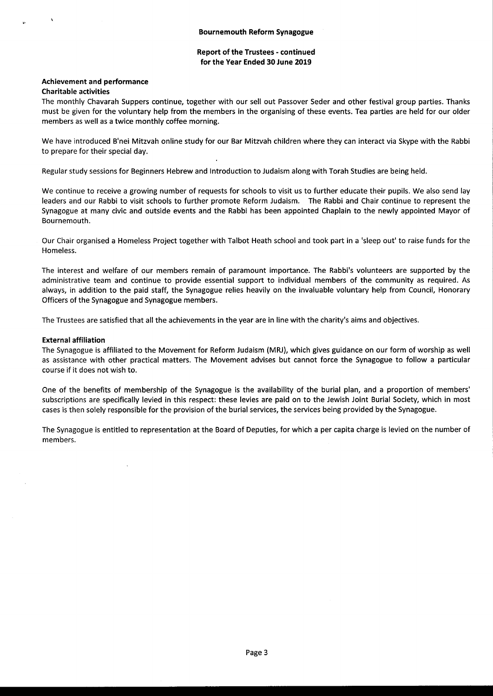# Report of the Trustees - continued for the Year Ended 30 June 2019

#### Achievement and performance Charitable activities

The monthly Chavarah Suppers continue, together with our sell out Passover Seder and other festival group parties. Thanks must be given for the voluntary help from the members in the organising of these events. Tea parties are held for our older members as well as a twice monthly coffee morning.

We have introduced B'nei Mitzvah online study for our Bar Mitzvah children where they can interact via Skype with the Rabbi to prepare for their special day.

Regular study sessions for Beginners Hebrew and Introduction to Judaism along with Torah Studies are being held.

We continue to receive a growing number of requests for schools to visit us to further educate their pupils. We also send lay leaders and our Rabbi to visit schools to further promote Reform Judaism. The Rabbi and Chair continue to represent the Synagogue at many civic and outside events and the Rabbi has been appointed Chaplain to the newly appointed Mayor of Bournemouth.

Our Chair organised a Homeless Project together with Talbot Heath school and took part in a 'sleep out' to raise funds for the Homeless.

The interest and welfare of our members remain of paramount importance. The Rabbi's volunteers are supported by the administrative team and continue to provide essential support to individual members of the community as required. As always, in addition to the paid staff, the Synagogue relies heavily on the invaluable voluntary help from Council, Honorary Officers of the Synagogue and Synagogue members.

The Trustees are satisfied that all the achievements in the year are in line with the charity's aims and objectives.

# External affiliation

The Synagogue is affiliated to the Movement for Reform Judaism (MRJ), which gives guidance on our form of worship as well as assistance with other practical matters. The Movement advises but cannot force the Synagogue to follow a particular course if it does not wish to.

One of the benefits of membership of the Synagogue is the availability of the burial plan, and a proportion of members' subscriptions are specifically levied in this respect: these levies are paid on to the Jewish Joint Burial Society, which in most cases is then solely responsible for the provision of the burial services, the services being provided by the Synagogue.

The Synagogue is entitled to representation at the Board of Deputies, for which a per capita charge is levied on the number of members.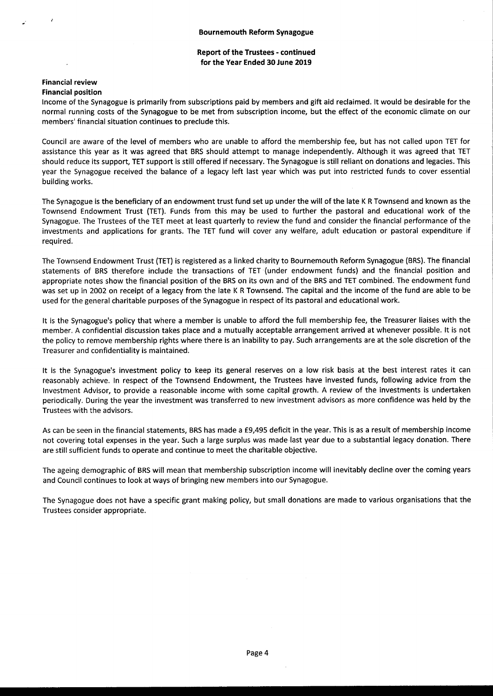# Report of the Trustees - continued for the Year Ended 30 June 2019

#### Financial review Financial position

Income of the Synagogue is primarily from subscriptions paid by members and gift aid reclaimed. It would be desirable for the normal running costs of the Synagogue to be met from subscription income, but the effect of the economic climate on our members' financial situation continues to preclude this.

Council are aware of the level of members who are unable to afford the membership fee, but has not called upon TET for assistance this year as it was agreed that BRS should attempt to manage independently. Although it was agreed that TET should reduce its support, TET support is still offered if necessary. The Synagogue is still reliant on donations and legacies. This year the Synagogue received the balance of a legacy left last year which was put into restricted funds to cover essential building works.

The Synagogue is the beneficiary of an endowment trust fund set up under the will of the late <sup>K</sup> <sup>R</sup> Townsend and known as the Townsend Endowment Trust (TET). Funds from this may be used to further the pastoral and educational work of the Synagogue. The Trustees of the TET meet at least quarterly to review the fund and consider the financial performance of the investments and applications for grants. The TET fund will cover any welfare, adult education or pastoral expenditure if required.

The Townsend Endowment Trust (TET) is registered as a linked charity to Bournemouth Reform Synagogue (BRS).The financial statements of BRS therefore include the transactions of TET (under endowment funds) and the financial position and appropriate notes show the financial position of the BRS on its own and of the BRS and TET combined. The endowment fund was set up in 2002 on receipt of a legacy from the late <sup>K</sup> <sup>R</sup> Townsend. The capital and the income of the fund are able to be used for the general charitable purposes of the Synagogue in respect of its pastoral and educational work.

It is the Synagogue's policy that where a member is unable to afford the full membership fee, the Treasurer liaises with the member. <sup>A</sup> confidential discussion takes place and a mutually acceptable arrangement arrived at whenever possible. It is not the policy to remove membership rights where there is an inability to pay. Such arrangements are at the sole discretion of the Treasurer and confidentiality is maintained.

It is the Synagogue's investment policy to keep its general reserves on a low risk basis at the best interest rates it can reasonably achieve. In respect of the Townsend Endowment, the Trustees have invested funds, following advice from the Investment Advisor, to provide a reasonable income with some capital growth. A review of the investments is undertaken periodically. During the year the investment was transferred to new investment advisors as more confidence was held by the Trustees with the advisors.

As can be seen in the financial statements, BRS has made a E9,495 deficit in the year. This is as a result of membership income not covering total expenses in the year. Such a large surplus was made last year due to a substantial legacy donation. There are still sufficient funds to operate and continue to meet the charitable objective.

The ageing demographic of BRS will mean that membership subscription income will inevitably decline over the coming years and Council continues to look at ways of bringing new members into our Synagogue.

The Synagogue does not have a specific grant making policy, but small donations are made to various organisations that the Trustees consider appropriate.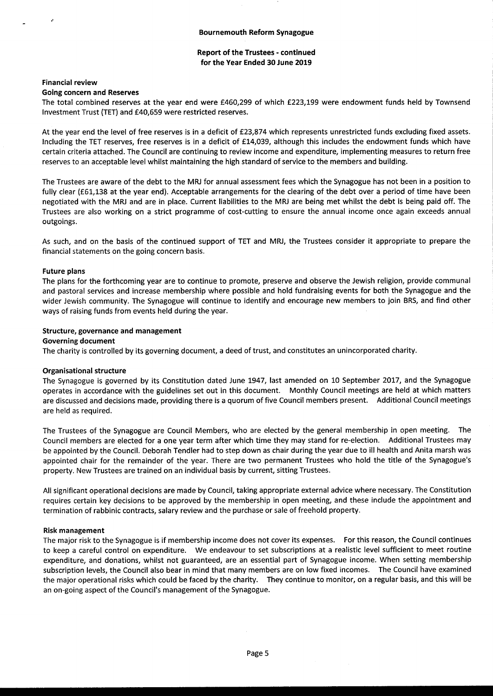#### Bournemouth Reform Synagogue

# Report of the Trustees - continued for the Year Ended 30 June 2019

#### Financial review

#### Going concern and Reserves

The total combined reserves at the year end were E460,299 of which E223,199 were endowment funds held by Townsend Investment Trust (TET) and f40,659 were restricted reserves.

At the year end the level of free reserves is in a deficit of f23,874 which represents unrestricted funds excluding fixed assets. Including the TET reserves, free reserves is in a deficit of f14,039, although this includes the endowment funds which have certain criteria attached. The Council are continuing to review income and expenditure, implementing measures to return free reserves to an acceptable level whilst maintaining the high standard of service to the members and building.

The Trustees are aware of the debt to the MRJ for annual assessment fees which the Synagogue has not been in a position to fully clear (£61,138 at the year end). Acceptable arrangements for the clearing of the debt over a period of time have been negotiated with the MRJ and are in place. Current liabilities to the MRJ are being met whilst the debt is being paid off. The Trustees are also working on a strict programme of cost-cutting to ensure the annual income once again exceeds annual outgoings.

As such, and on the basis of the continued support of TET and MRJ, the Trustees consider it appropriate to prepare the financial statements on the going concern basis.

#### Future plans

The plans for the forthcoming year are to continue to promote, preserve and observe the Jewish religion, provide communal and pastoral services and increase membership where possible and hold fundraising events for both the Synagogue and the wider Jewish community. The Synagogue will continue to identify and encourage new members to join BRS, and find other ways of raising funds from events held during the year.

#### Structure, governance and management

#### Governing document

The charity is controlled by its governing document, a deed of trust, and constitutes an unincorporated charity.

#### Organisational structure

The Synagogue is governed by its Constitution dated June 1947, last amended on 10 September 2017, and the Synagogue operates in accordance with the guidelines set out in this document. Monthly Council meetings are held at which matters are discussed and decisions made, providing there is a quorum of five Council members present. Additional Council meetings are held as required.

The Trustees of the Synagogue are Council Members, who are elected by the general membership in open meeting. The Council members are elected for a one year term after which time they may stand for re-election. Additional Trustees may be appointed by the Council. Deborah Tendler had to step down as chair during the year due to ill health and Anita marsh was appointed chair for the remainder of the year. There are two permanent Trustees who hold the title of the Synagogue's property. New Trustees are trained on an individual basis by current, sitting Trustees.

All significant operational decisions are made by Council, taking appropriate external advice where necessary. The Constitution requires certain key decisions to be approved by the membership in open meeting, and these include the appointment and termination of rabbinic contracts, salary review and the purchase or sale of freehold property.

#### Risk management

The major risk to the Synagogue is if membership income does not cover its expenses. For this reason, the Council continues to keep a careful control on expenditure. We endeavour to set subscriptions at a realistic level sufficient to meet routine expenditure, and donations, whilst not guaranteed, are an essential part of Synagogue income. When setting membership subscription levels, the Council also bear in mind that many members are on low fixed incomes. The Council have examined the major operational risks which could be faced by the charity. They continue to monitor, on a regular basis, and this will be an on-going aspect of the Council's management of the Synagogue.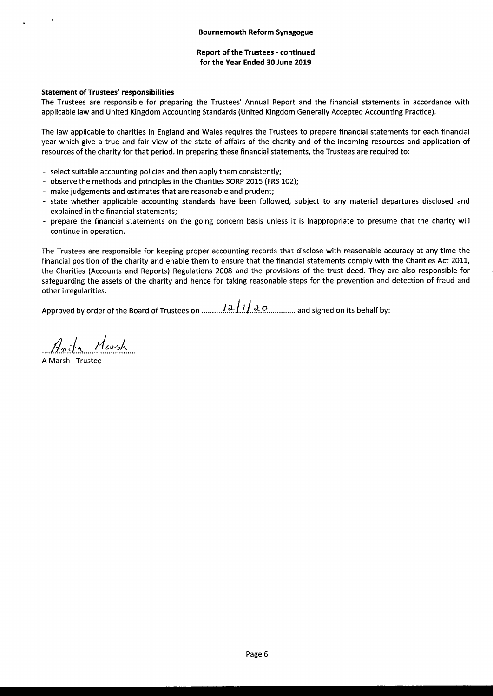# Report of the Trustees - continued for the Year Ended 30 June 2019

#### Statement of Trustees' responsibilities

The Trustees are responsible for preparing the Trustees' Annual Report and the financial statements in accordance with applicable law and United Kingdom Accounting Standards (United Kingdom Generally Accepted Accounting Practice).

The law applicable to charities in England and Wales requires the Trustees to prepare financial statements for each financial year which give a true and fair view of the state of affairs of the charity and of the incoming resources and application of resources of the charity for that period. In preparing these financial statements, the Trustees are required to:

- select suitable accounting policies and then apply them consistently;
- observe the methods and principles in the Charities SORP 2015 (FRS 102);
- make judgements and estimates that are reasonable and prudent;
- state whether applicable accounting standards have been followed, subject to any material departures disclosed and explained in the financial statements;
- prepare the financial statements on the going concern basis unless it is inappropriate to presume that the charity will continue in operation.

The Trustees are responsible for keeping proper accounting records that disclose with reasonable accuracy at any time the financial position of the charity and enable them to ensure that the financial statements comply with the Charities Act 2011, the Charities (Accounts and Reports) Regulations 2008 and the provisions of the trust deed. They are also responsible for safeguarding the assets of the charity and hence for taking reasonable steps for the prevention and detection of fraud and other irregularities.

Approved by order of the Board of Trustees on ..........!... ... ..+.O.... .. and signed on its behalf by:

Anita Marsh

<sup>A</sup> Marsh - Trustee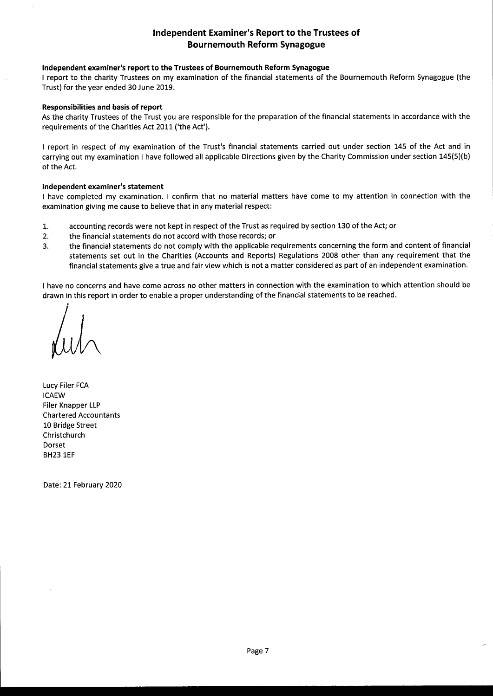# Independent Examiner's Report to the Trustees of Bournemouth Reform Synagogue

# Independent examiner's report to the Trustees of Bournemouth Reform Synagogue

<sup>I</sup> report to the charity Trustees on my examination of the financial statements of the Bournemouth Reform Synagogue (the Trust) for the year ended 30 June 2019.

#### Responsibilities and basis of report

As the charity Trustees of the Trust you are responsible for the preparation of the financial statements in accordance with the requirements of the Charities Act 2011 ('the Act').

<sup>I</sup> report in respect of my examination of the Trust's financial statements carried out under section 145 of the Act and in carrying out my examination <sup>I</sup> have followed all applicable Directions given by the Charity Commission under section 145(5)(b) of the Act.

#### Independent examiner's statement

<sup>I</sup> have completed my examination. <sup>I</sup> confirm that no material matters have come to my attention in connection with the examination giving me cause to believe that in any material respect:

- 1. accounting records were not kept in respect of the Trust as required by section 130 of the Act; or
- 2. the financial statements do not accord with those records; or
- 3. the financial statements do not comply with the applicable requirements concerning the form and content of financial statements set out in the Charities (Accounts and Reports) Regulations 2008 other than any requirement that the financial statements give a true and fair view which is not a matter considered as part of an independent examination.

<sup>I</sup> have no concerns and have come across no other matters in connection with the examination to which attention should be drawn in this report in order to enable a proper understanding of the financial statements to be reached.

Lucy Filer FCA ICAEW Filer Knapper LLP Chartered Accountants 10 Bridge Street Christchurch Dorset BH23 1EF

Date: 21 February 2020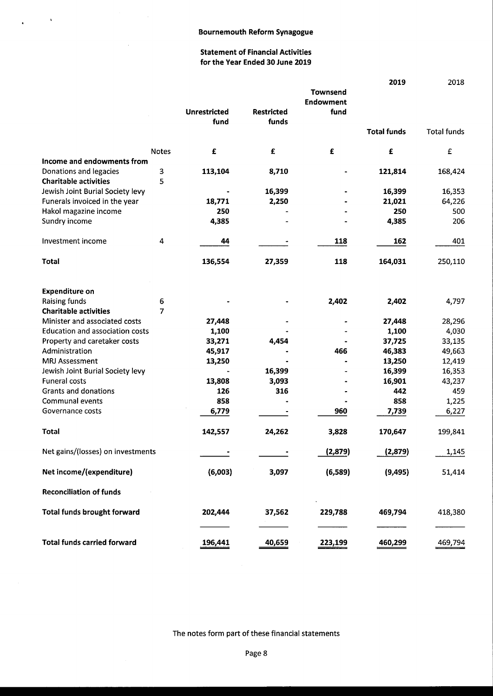$\pmb{\cdot}$ 

÷.

 $\ddot{\phantom{a}}$ 

# Statement of Financial Activities for the Year Ended 30 June 2019

|                                        |              |                     |                   |                  | 2019               | 2018               |
|----------------------------------------|--------------|---------------------|-------------------|------------------|--------------------|--------------------|
|                                        |              |                     |                   | <b>Townsend</b>  |                    |                    |
|                                        |              |                     |                   | <b>Endowment</b> |                    |                    |
|                                        |              | <b>Unrestricted</b> | <b>Restricted</b> | fund             |                    |                    |
|                                        |              | fund                | funds             |                  |                    |                    |
|                                        |              |                     |                   |                  | <b>Total funds</b> | <b>Total funds</b> |
|                                        | <b>Notes</b> | £                   | £                 | £                | £                  | £                  |
| Income and endowments from             |              |                     |                   |                  |                    |                    |
| Donations and legacies                 | $\mathbf 3$  | 113,104             | 8,710             |                  | 121,814            | 168,424            |
| <b>Charitable activities</b>           | 5            |                     |                   |                  |                    |                    |
| Jewish Joint Burial Society levy       |              |                     | 16,399            |                  | 16,399             | 16,353             |
| Funerals invoiced in the year          |              | 18,771              | 2,250             |                  | 21,021             | 64,226             |
| Hakol magazine income                  |              | 250                 |                   |                  | 250                | 500                |
|                                        |              |                     |                   |                  |                    |                    |
| Sundry income                          |              | 4,385               |                   |                  | 4,385              | 206                |
| Investment income                      | 4            | 44                  |                   | 118              | 162                | 401                |
| <b>Total</b>                           |              | 136,554             | 27,359            | 118              | 164,031            | 250,110            |
| <b>Expenditure on</b>                  |              |                     |                   |                  |                    |                    |
| Raising funds                          | 6            |                     |                   | 2,402            | 2,402              | 4,797              |
| <b>Charitable activities</b>           | 7            |                     |                   |                  |                    |                    |
| Minister and associated costs          |              | 27,448              |                   |                  | 27,448             | 28,296             |
| <b>Education and association costs</b> |              | 1,100               |                   |                  | 1,100              | 4,030              |
|                                        |              |                     |                   |                  |                    |                    |
| Property and caretaker costs           |              | 33,271              | 4,454             |                  | 37,725             | 33,135             |
| Administration                         |              | 45,917              |                   | 466              | 46,383             | 49,663             |
| <b>MRJ Assessment</b>                  |              | 13,250              |                   |                  | 13,250             | 12,419             |
| Jewish Joint Burial Society levy       |              |                     | 16,399            |                  | 16,399             | 16,353             |
| <b>Funeral costs</b>                   |              | 13,808              | 3,093             |                  | 16,901             | 43,237             |
| Grants and donations                   |              | 126                 | 316               |                  | 442                | 459                |
| Communal events                        |              | 858                 |                   |                  | 858                | 1,225              |
| Governance costs                       |              | 6,779               |                   | 960              | 7,739              | 6,227              |
| <b>Total</b>                           |              | 142,557             | 24,262            | 3,828            | 170,647            | 199,841            |
| Net gains/(losses) on investments      |              |                     |                   | (2,879)          | (2,879)            | 1,145              |
| Net income/(expenditure)               |              | (6,003)             | 3,097             | (6,589)          | (9, 495)           | 51,414             |
| <b>Reconciliation of funds</b>         |              |                     |                   |                  |                    |                    |
| <b>Total funds brought forward</b>     |              | 202,444             | 37,562            | 229,788          | 469,794            | 418,380            |
| <b>Total funds carried forward</b>     |              | 196,441             | 40,659            | 223,199          | 460,299            | 469,794            |

The notes form part of these financial statements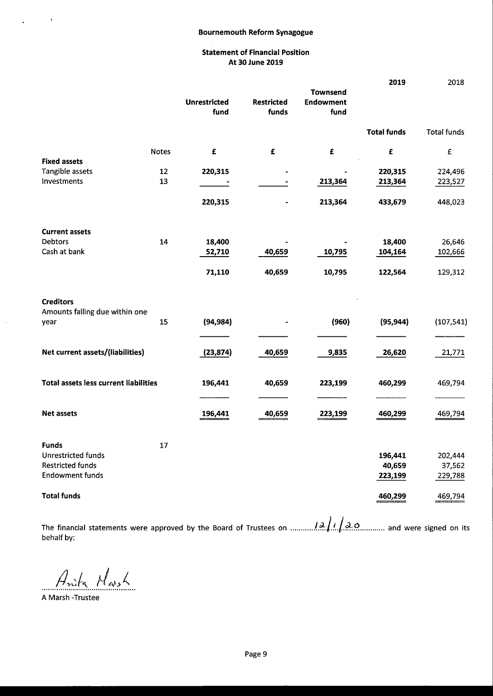### Bournemouth Reform Synagogue

# Statement of Financial Position At 30 June 2019

|                                                            |              |                             |                            | <b>Townsend</b>          | 2019               | 2018               |
|------------------------------------------------------------|--------------|-----------------------------|----------------------------|--------------------------|--------------------|--------------------|
|                                                            |              | <b>Unrestricted</b><br>fund | <b>Restricted</b><br>funds | <b>Endowment</b><br>fund |                    |                    |
|                                                            |              |                             |                            |                          | <b>Total funds</b> | <b>Total funds</b> |
|                                                            | <b>Notes</b> | $\pmb{\epsilon}$            | £                          | $\pmb{\mathsf{E}}$       | $\pmb{\mathsf{E}}$ | $\pmb{\epsilon}$   |
| <b>Fixed assets</b>                                        |              |                             |                            |                          |                    |                    |
| Tangible assets                                            | 12           | 220,315                     |                            |                          | 220,315            | 224,496            |
| Investments                                                | 13           |                             |                            | 213,364                  | 213,364            | 223,527            |
|                                                            |              | 220,315                     |                            | 213,364                  | 433,679            | 448,023            |
| <b>Current assets</b>                                      |              |                             |                            |                          |                    |                    |
| Debtors                                                    | 14           | 18,400                      |                            |                          | 18,400             | 26,646             |
| Cash at bank                                               |              | 52,710                      | 40,659                     | 10,795                   | 104,164            | 102,666            |
|                                                            |              | 71,110                      | 40,659                     | 10,795                   | 122,564            | 129,312            |
| <b>Creditors</b><br>Amounts falling due within one<br>year | 15           | (94, 984)                   |                            | (960)                    | (95, 944)          | (107, 541)         |
| Net current assets/(liabilities)                           |              | (23, 874)                   | 40,659                     | 9,835                    | 26,620             | 21,771             |
| <b>Total assets less current liabilities</b>               |              | 196,441                     | 40,659                     | 223,199                  | 460,299            | 469,794            |
| <b>Net assets</b>                                          |              | 196,441                     | 40,659                     | 223,199                  | 460,299            | 469,794            |
| <b>Funds</b>                                               | 17           |                             |                            |                          |                    |                    |
| <b>Unrestricted funds</b>                                  |              |                             |                            |                          | 196,441            | 202,444            |
| <b>Restricted funds</b>                                    |              |                             |                            |                          | 40,659             | 37,562             |
| <b>Endowment funds</b>                                     |              |                             |                            |                          | 223,199            | 229,788            |
| <b>Total funds</b>                                         |              |                             |                            |                          | 460,299            | 469,794            |

The financial statements were approved by the Board of Trustees on ...............2. A.I. A.O.............. and were signed on its behalf by:

Anita March

A Marsh -Trustee

 $\ddot{\phantom{1}}$ 

 $\ddot{\phantom{0}}$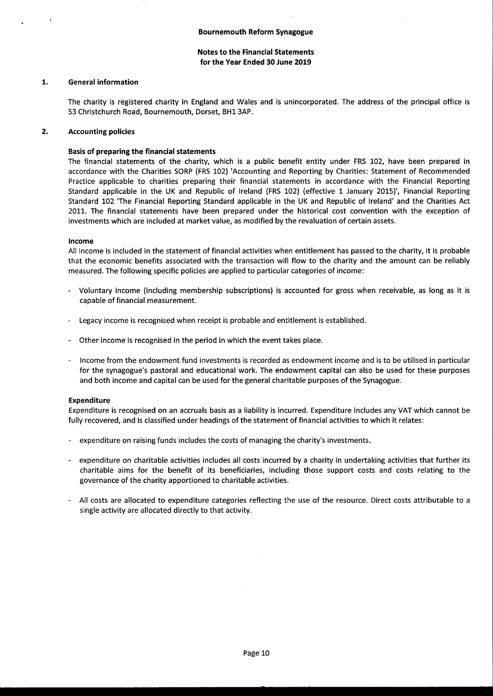#### 1. General information

The charity is registered charity in England and Wales and is unincorporated. The address of the principal office is 53 Christchurch Road, Bournemouth, Dorset, BH1 3AP.

#### $2.$ Accounting policies

# Basis of preparing the financial statements

The financial statements of the charity, which is a public benefit entity under FRS 102, have been prepared in accordance with the Charities SORP (FRS 102) 'Accounting and Reporting by Charities: Statement of Recommended Practice applicable to charities preparing their financial statements in accordance with the Financial Reporting Standard applicable in the UK and Republic of Ireland (FRS 102) (effective 1 January 2015)', Financial Reporting Standard 102 'The Financial Reporting Standard applicable in the UK and Republic of Ireland' and the Charities Act 2011. The financial statements have been prepared under the historical cost convention with the exception of investments which are included at market value, as modified by the revaluation of certain assets.

#### Income

All income is included in the statement of financial activities when entitlement has passed to the charity, it is probable that the economic benefits associated with the transaction will flow to the charity and the amount can be reliably measured. The following specific policies are applied to particular categories of income:

- Voluntary income (including membership subscriptions) is accounted for gross when receivable, as long as it is capable of financial measurement.
- Legacy income is recognised when receipt is probable and entitlement is established.
- Other income is recognised in the period in which the event takes place.
- Income from the endowment fund investments is recorded as endowment income and is to be utilised in particular for the synagogue's pastoral and educational work. The endowment capital can also be used for these purposes and both income and capital can be used for the general charitable purposes of the Synagogue.

#### Expenditure

Expenditure is recognised on an accruals basis as a liability is incurred. Expenditure includes any VAT which cannot be fully recovered, and is classified under headings of the statement of financial activities to which it relates:

- expenditure on raising funds includes the costs of managing the charity's investments.
- expenditure on charitable activities includes all costs incurred by a charity in undertaking activities that further its charitable aims for the benefit of its beneficiaries, including those support costs and costs relating to the governance of the charity apportioned to charitable activities.
- All costs are allocated to expenditure categories reflecting the use of the resource. Direct costs attributable to a single activity are allocated directly to that activity.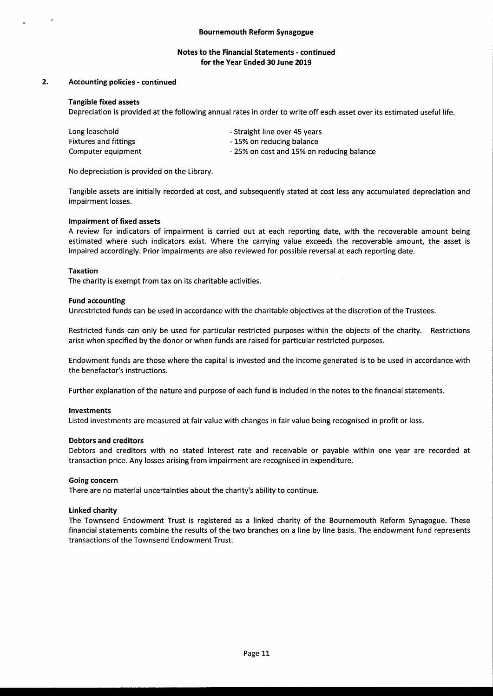#### $2.$ Accounting policies - continued

#### Tangible fixed assets

Depreciation is provided at the following annual rates in order to write off each asset over its estimated useful life.

| Long leasehold               | - Straight line over 45 years            |
|------------------------------|------------------------------------------|
| <b>Fixtures and fittings</b> | - 15% on reducing balance                |
| Computer equipment           | -25% on cost and 15% on reducing balance |

No depreciation is provided on the Library.

Tangible assets are initially recorded at cost, and subsequently stated at cost less any accumulated depreciation and impairment losses.

#### Impairment of fixed assets

A review for indicators of impairment is carried out at each reporting date, with the recoverable amount being estimated where such indicators exist. Where the carrying value exceeds the recoverable amount, the asset is impaired accordingly. Prior impairments are also reviewed for possible reversal at each reporting date.

#### Taxation

The charity is exempt from tax on its charitable activities.

#### Fund accounting

Unrestricted funds can be used in accordance with the charitable objectives at the discretion of the Trustees.

Restricted funds can only be used for particular restricted purposes within the objects of the charity. Restrictions arise when specified by the donor or when funds are raised for particular restricted purposes.

Endowment funds are those where the capital is invested and the income generated is to be used in accordance with the benefactor's instructions.

Further explanation of the nature and purpose of each fund is included in the notes to the financial statements.

#### Investments

Listed investments are measured at fair value with changes in fair value being recognised in profit or loss.

#### Debtors and creditors

Debtors and creditors with no stated interest rate and receivable or payable within one year are recorded at transaction price. Any losses arising from impairment are recognised in expenditure.

#### Going concern

There are no material uncertainties about the charity's ability to continue.

#### Linked charity

The Townsend Endowment Trust is registered as a linked charity of the Bournemouth Reform Synagogue. These financial statements combine the results of the two branches on a line by line basis. The endowment fund represents transactions of the Townsend Endowment Trust.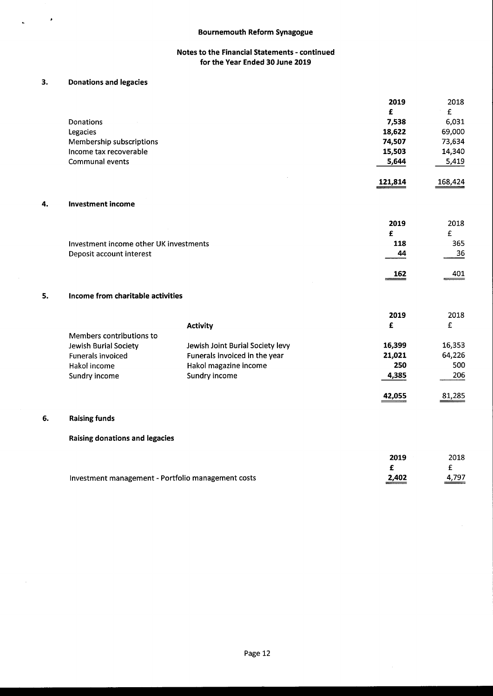# 3. Donations and legacies

 $\ddot{\phantom{a}}$ 

|    |                                                    |                                  | 2019    | 2018    |
|----|----------------------------------------------------|----------------------------------|---------|---------|
|    |                                                    |                                  | £       | £       |
|    | Donations                                          |                                  | 7,538   | 6,031   |
|    | Legacies                                           |                                  | 18,622  | 69,000  |
|    | Membership subscriptions                           |                                  | 74,507  | 73,634  |
|    | Income tax recoverable                             |                                  | 15,503  | 14,340  |
|    | Communal events                                    |                                  | 5,644   | 5,419   |
|    |                                                    |                                  | 121,814 | 168,424 |
| 4. | <b>Investment income</b>                           |                                  |         |         |
|    |                                                    |                                  | 2019    | 2018    |
|    |                                                    |                                  | £       | £       |
|    | Investment income other UK investments             |                                  | 118     | 365     |
|    | Deposit account interest                           |                                  | 44      | 36      |
|    |                                                    |                                  | 162     | 401     |
| 5. | Income from charitable activities                  |                                  |         |         |
|    |                                                    |                                  | 2019    | 2018    |
|    |                                                    | <b>Activity</b>                  | £       | £       |
|    | Members contributions to                           |                                  |         |         |
|    | Jewish Burial Society                              | Jewish Joint Burial Society levy | 16,399  | 16,353  |
|    | <b>Funerals invoiced</b>                           | Funerals invoiced in the year    | 21,021  | 64,226  |
|    | Hakol income                                       | Hakol magazine income            | 250     | 500     |
|    | Sundry income                                      | Sundry income                    | 4,385   | 206     |
|    |                                                    |                                  | 42,055  | 81,285  |
| 6. | <b>Raising funds</b>                               |                                  |         |         |
|    | Raising donations and legacies                     |                                  |         |         |
|    |                                                    |                                  | 2019    | 2018    |
|    |                                                    |                                  | £       | £       |
|    | Investment management - Portfolio management costs |                                  | 2,402   | 4,797   |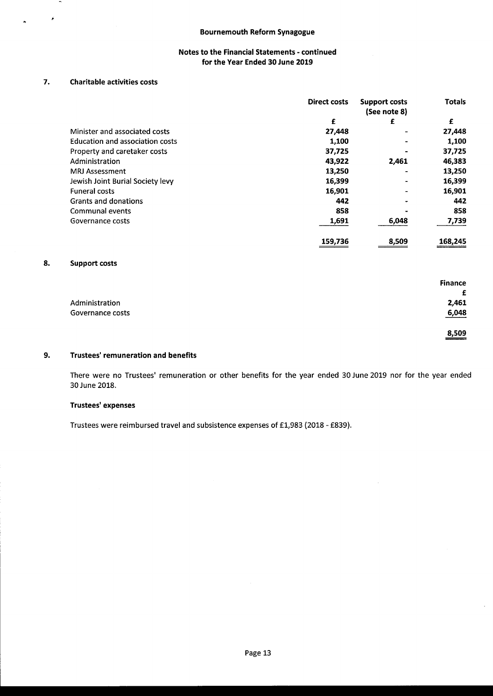# 7. Charitable activities costs

¥

|                                        | <b>Direct costs</b> | <b>Support costs</b><br>(See note 8) | <b>Totals</b> |
|----------------------------------------|---------------------|--------------------------------------|---------------|
|                                        | £                   | £                                    | £             |
| Minister and associated costs          | 27,448              |                                      | 27,448        |
| <b>Education and association costs</b> | 1,100               |                                      | 1,100         |
| Property and caretaker costs           | 37,725              |                                      | 37,725        |
| Administration                         | 43.922              | 2,461                                | 46,383        |
| <b>MRJ Assessment</b>                  | 13,250              |                                      | 13,250        |
| Jewish Joint Burial Society levy       | 16,399              |                                      | 16,399        |
| <b>Funeral costs</b>                   | 16.901              |                                      | 16,901        |
| Grants and donations                   | 442                 |                                      | 442           |
| <b>Communal events</b>                 | 858                 |                                      | 858           |
| Governance costs                       | 1,691               | 6,048                                | 7,739         |
|                                        | 159,736             | 8,509                                | 168,245       |

# 8. Support costs

|                  | <b>Finance</b> |
|------------------|----------------|
|                  | £              |
| Administration   | 2,461          |
| Governance costs | 6,048          |
|                  | 8,509          |

#### 9. Trustees' remuneration and benefits

There were no Trustees' remuneration or other benefits for the year ended 30 June 2019 nor for the year ended 30 June 2018.

# Trustees' expenses

Trustees were reimbursed travel and subsistence expenses of E1,983 (2018 - f839).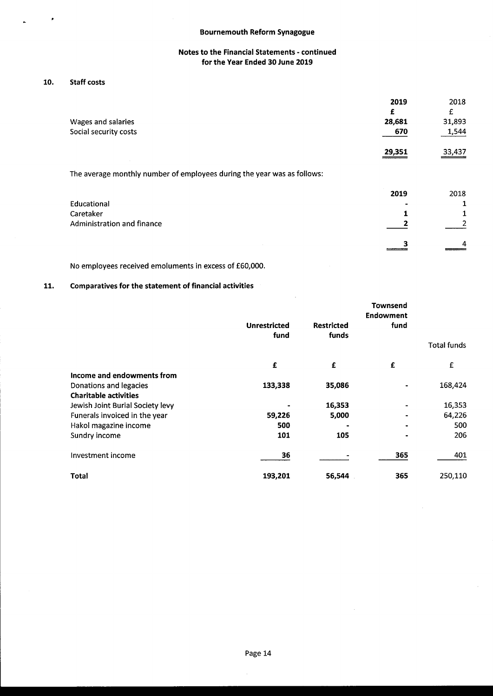# 10. Staff costs

×

|                                                                         | 2019   | 2018   |
|-------------------------------------------------------------------------|--------|--------|
|                                                                         | £      | £      |
| Wages and salaries                                                      | 28,681 | 31,893 |
| Social security costs                                                   | 670    | 1,544  |
|                                                                         | 29,351 | 33,437 |
| The average monthly number of employees during the year was as follows: |        |        |
|                                                                         | 2019   | 2018   |
| Educational                                                             |        |        |
| Caretaker                                                               |        |        |
| Administration and finance                                              |        |        |
|                                                                         |        |        |

No employees received emoluments in excess of f60,000.

# 11. Comparatives for the statement of financial activities

|                                  |                     |                   | Townsend         |                    |
|----------------------------------|---------------------|-------------------|------------------|--------------------|
|                                  |                     |                   | <b>Endowment</b> |                    |
|                                  | <b>Unrestricted</b> | <b>Restricted</b> | fund             |                    |
|                                  | fund                | funds             |                  |                    |
|                                  |                     |                   |                  | <b>Total funds</b> |
|                                  | £                   | £                 | £                | £                  |
| Income and endowments from       |                     |                   |                  |                    |
| Donations and legacies           | 133,338             | 35,086            |                  | 168,424            |
| <b>Charitable activities</b>     |                     |                   |                  |                    |
| Jewish Joint Burial Society levy |                     | 16,353            |                  | 16,353             |
| Funerals invoiced in the year    | 59,226              | 5,000             | $\blacksquare$   | 64,226             |
| Hakol magazine income            | 500                 |                   |                  | 500                |
| Sundry income                    | 101                 | 105               |                  | 206                |
| Investment income                | 36                  |                   | 365              | 401                |
| Total                            | 193,201             | 56,544            | 365              | 250,110            |

 $\bar{z}$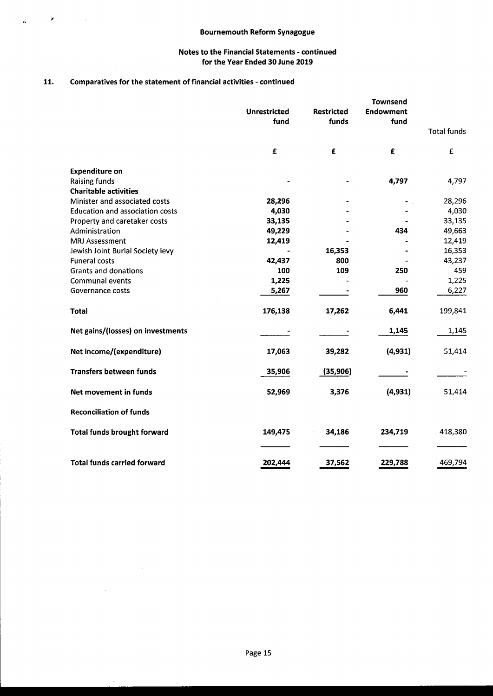# 11. Comparatives for the statement of financial activities - continued

 $\sim 10^7$ 

 $\sim$ 

 $\hat{\pmb{r}}$ 

 $\sim$ 

 $\ddot{\phantom{1}}$ 

|                                                | <b>Unrestricted</b><br>fund | <b>Restricted</b><br>funds | <b>Townsend</b><br><b>Endowment</b><br>fund |                    |
|------------------------------------------------|-----------------------------|----------------------------|---------------------------------------------|--------------------|
|                                                |                             |                            |                                             | <b>Total funds</b> |
|                                                | $\mathbf f$                 | £                          | £                                           | £                  |
| <b>Expenditure on</b>                          |                             |                            |                                             |                    |
| <b>Raising funds</b>                           |                             |                            | 4,797                                       | 4,797              |
| <b>Charitable activities</b>                   |                             |                            |                                             |                    |
| Minister and associated costs                  | 28,296                      |                            |                                             | 28,296             |
| <b>Education and association costs</b>         | 4,030<br>33,135             |                            |                                             | 4,030<br>33,135    |
| Property and caretaker costs<br>Administration | 49,229                      |                            | 434                                         | 49,663             |
| <b>MRJ Assessment</b>                          | 12,419                      |                            |                                             | 12,419             |
| Jewish Joint Burial Society levy               |                             | 16,353                     |                                             | 16,353             |
| <b>Funeral costs</b>                           | 42,437                      | 800                        |                                             | 43,237             |
| <b>Grants and donations</b>                    | 100                         | 109                        | 250                                         | 459                |
| <b>Communal events</b>                         | 1,225                       |                            |                                             | 1,225              |
| Governance costs                               | 5,267                       |                            | 960                                         | 6,227              |
| <b>Total</b>                                   | 176,138                     | 17,262                     | 6,441                                       | 199,841            |
| Net gains/(losses) on investments              |                             |                            | 1,145                                       | 1,145              |
| Net income/(expenditure)                       | 17,063                      | 39,282                     | (4,931)                                     | 51,414             |
| <b>Transfers between funds</b>                 | 35,906                      | (35, 906)                  |                                             |                    |
| Net movement in funds                          | 52,969                      | 3,376                      | (4, 931)                                    | 51,414             |
| <b>Reconciliation of funds</b>                 |                             |                            |                                             |                    |
| <b>Total funds brought forward</b>             | 149,475                     | 34,186                     | 234,719                                     | 418,380            |
| <b>Total funds carried forward</b>             | 202,444                     | 37,562                     | 229,788                                     | 469,794            |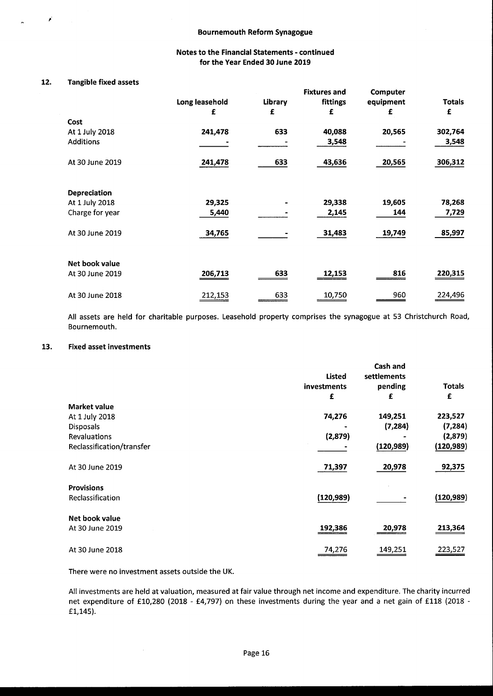# 12. Tangible fixed assets

|                  |                |                | <b>Fixtures and</b> | Computer  |               |
|------------------|----------------|----------------|---------------------|-----------|---------------|
|                  | Long leasehold | <b>Library</b> | fittings            | equipment | <b>Totals</b> |
|                  | £              | £              | £                   | £         | £             |
| Cost             |                |                |                     |           |               |
| At 1 July 2018   | 241,478        | 633            | 40,088              | 20,565    | 302,764       |
| <b>Additions</b> |                |                | 3,548               |           | 3,548         |
| At 30 June 2019  | 241,478        | 633            | 43,636              | 20,565    | 306,312       |
| Depreciation     |                |                |                     |           |               |
| At 1 July 2018   | 29,325         |                | 29,338              | 19,605    | 78,268        |
| Charge for year  | 5,440          |                | 2,145               | 144       | 7,729         |
| At 30 June 2019  | 34,765         |                | 31,483              | 19,749    | 85,997        |
| Net book value   |                |                |                     |           |               |
| At 30 June 2019  | 206,713        | 633            | 12,153              | 816       | 220,315       |
| At 30 June 2018  | 212,153        | 633            | 10,750              | 960       | 224,496       |

All assets are held for charitable purposes. Leasehold property comprises the synagogue at 53 Christchurch Road, Bournemouth.

#### 13. Fixed asset investments

|                           |               | Cash and    |               |
|---------------------------|---------------|-------------|---------------|
|                           | <b>Listed</b> | settlements |               |
|                           | investments   | pending     | <b>Totals</b> |
|                           | £             | £           | £             |
| <b>Market value</b>       |               |             |               |
| At 1 July 2018            | 74,276        | 149,251     | 223,527       |
| <b>Disposals</b>          |               | (7, 284)    | (7, 284)      |
| <b>Revaluations</b>       | (2,879)       |             | (2,879)       |
| Reclassification/transfer |               | (120, 989)  | (120, 989)    |
| At 30 June 2019           | 71,397        | 20,978      | 92,375        |
| <b>Provisions</b>         |               |             |               |
| Reclassification          | (120, 989)    |             | (120, 989)    |
| Net book value            |               |             |               |
| At 30 June 2019           | 192,386       | 20,978      | 213,364       |
| At 30 June 2018           | 74,276        | 149,251     | 223,527       |
|                           |               |             |               |

There were no investment assets outside the UK.

 $\bar{\beta}$ 

All investments are held at valuation, measured at fair value through net income and expenditure. The charity incurred net expenditure of £10,280 (2018 - £4,797) on these investments during the year and a net gain of £118 (2018 -E1,145).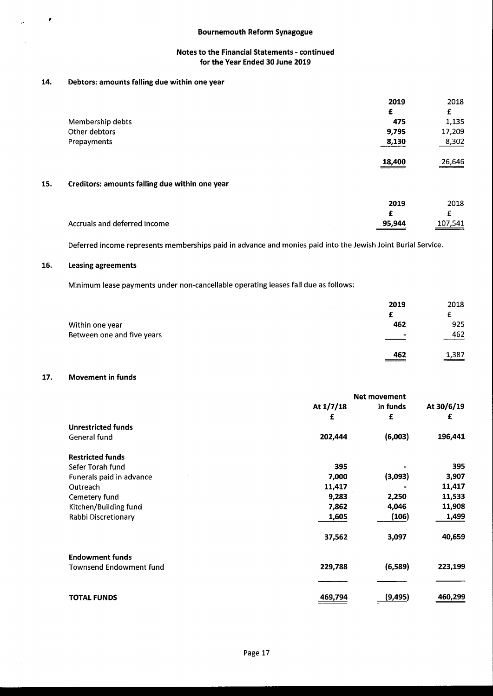# Bournemouth Reform Synagogue

# Notes to the Financial Statements - continued for the Year Ended 30 June 2019

# 14. Debtors: amounts falling due within one year

|     |                                                | 2019   | 2018    |
|-----|------------------------------------------------|--------|---------|
|     |                                                | £      | £       |
|     | Membership debts                               | 475    | 1,135   |
|     | Other debtors                                  | 9,795  | 17,209  |
|     | Prepayments                                    | 8,130  | 8,302   |
|     |                                                | 18,400 | 26,646  |
| 15. | Creditors: amounts falling due within one year |        |         |
|     |                                                | 2019   | 2018    |
|     |                                                | £      | £       |
|     | Accruals and deferred income                   | 95,944 | 107,541 |

Deferred income represents memberships paid in advance and monies paid into the Jewish Joint Burial Service.

# 16. Leasing agreements

×

ÿ.

Minimum lease payments under non-cancellable operating leases fall due as follows:

|                            | 2019                     | 2018  |
|----------------------------|--------------------------|-------|
|                            |                          |       |
| Within one year            | 462                      | 925   |
| Between one and five years | $\overline{\phantom{a}}$ | 462   |
|                            | 462                      | 1,387 |

# 17. Movement in funds

|                                | <b>Net movement</b> |          |            |
|--------------------------------|---------------------|----------|------------|
|                                | At $1/7/18$         | in funds | At 30/6/19 |
|                                | £                   | £        | £          |
| <b>Unrestricted funds</b>      |                     |          |            |
| General fund                   | 202,444             | (6,003)  | 196,441    |
| <b>Restricted funds</b>        |                     |          |            |
| Sefer Torah fund               | 395                 |          | 395        |
| Funerals paid in advance       | 7,000               | (3,093)  | 3,907      |
| Outreach                       | 11,417              |          | 11,417     |
| Cemetery fund                  | 9,283               | 2,250    | 11,533     |
| Kitchen/Building fund          | 7,862               | 4,046    | 11,908     |
| Rabbi Discretionary            | 1,605               | (106)    | 1,499      |
|                                | 37,562              | 3,097    | 40,659     |
| <b>Endowment funds</b>         |                     |          |            |
| <b>Townsend Endowment fund</b> | 229,788             | (6,589)  | 223,199    |
|                                |                     |          |            |
| <b>TOTAL FUNDS</b>             | 469,794             | (9, 495) | 460,299    |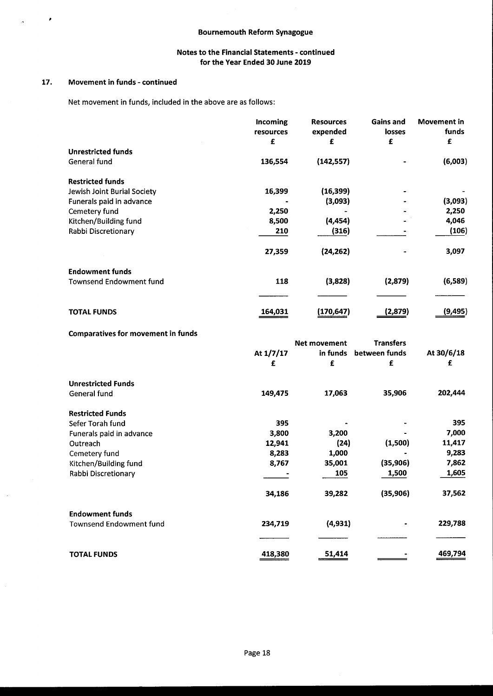### 17. Movement in funds - continued

×

Net movement in funds, included in the above are as follows:

|                                | Incoming<br>resources | <b>Resources</b><br>expended | Gains and<br>losses | Movement in<br>funds |
|--------------------------------|-----------------------|------------------------------|---------------------|----------------------|
|                                | £                     | £                            | £                   | £                    |
| <b>Unrestricted funds</b>      |                       |                              |                     |                      |
| General fund                   | 136,554               | (142, 557)                   |                     | (6,003)              |
| <b>Restricted funds</b>        |                       |                              |                     |                      |
| Jewish Joint Burial Society    | 16,399                | (16, 399)                    |                     |                      |
| Funerals paid in advance       |                       | (3,093)                      |                     | (3,093)              |
| Cemetery fund                  | 2,250                 |                              |                     | 2,250                |
| Kitchen/Building fund          | 8,500                 | (4, 454)                     |                     | 4,046                |
| Rabbi Discretionary            | 210                   | (316)                        |                     | (106)                |
|                                | 27,359                | (24, 262)                    |                     | 3,097                |
| <b>Endowment funds</b>         |                       |                              |                     |                      |
| <b>Townsend Endowment fund</b> | 118                   | (3,828)                      | (2,879)             | (6, 589)             |
|                                |                       |                              |                     |                      |
| <b>TOTAL FUNDS</b>             | 164,031               | (170,647)                    | (2,879)             | (9, 495)             |

# Comparatives for movement in funds

|                                |           | <b>Net movement</b> | <b>Transfers</b> |            |
|--------------------------------|-----------|---------------------|------------------|------------|
|                                | At 1/7/17 | in funds            | between funds    | At 30/6/18 |
|                                | £         | £                   | £                | £          |
| <b>Unrestricted Funds</b>      |           |                     |                  |            |
| General fund                   | 149,475   | 17,063              | 35,906           | 202,444    |
| <b>Restricted Funds</b>        |           |                     |                  |            |
| Sefer Torah fund               | 395       |                     |                  | 395        |
| Funerals paid in advance       | 3,800     | 3,200               |                  | 7,000      |
| Outreach                       | 12,941    | (24)                | (1,500)          | 11,417     |
| Cemetery fund                  | 8,283     | 1,000               |                  | 9,283      |
| Kitchen/Building fund          | 8,767     | 35,001              | (35, 906)        | 7,862      |
| Rabbi Discretionary            |           | 105                 | 1,500            | 1,605      |
|                                | 34,186    | 39,282              | (35, 906)        | 37,562     |
| <b>Endowment funds</b>         |           |                     |                  |            |
| <b>Townsend Endowment fund</b> | 234,719   | (4, 931)            |                  | 229,788    |
|                                |           |                     |                  |            |
| <b>TOTAL FUNDS</b>             | 418,380   | 51,414              |                  | 469,794    |